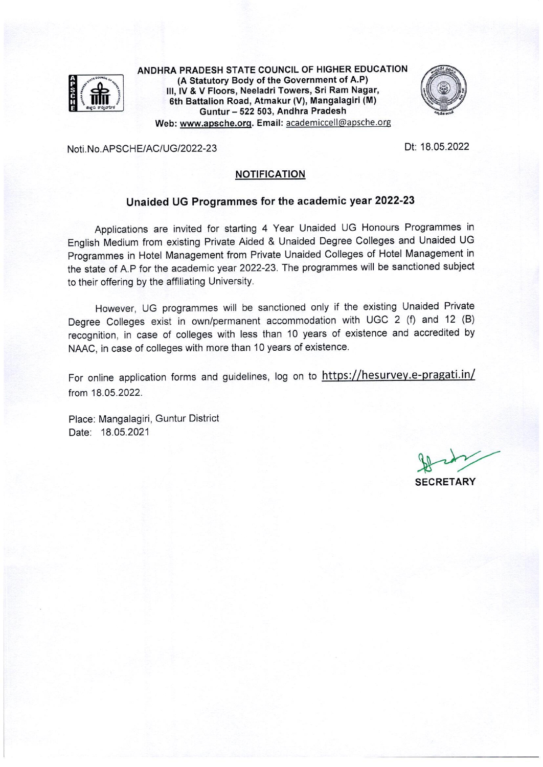

ANDHRA PRADESH STATE COUNCIL OF HIGHER EDUCATION (A Statutory Body of the Government of A.P) III, IV & V Floors, Neeladri Towers, Sri Ram Nagar, 6th Battalion Road, Atmakur (V), Mangalagiri (M) Guntur - 522 503, Andhra Pradesh Web: www.apsche.org. Email: academiccell@apsche.org



Noti No APSCHE/AC/UG/2022-23

Dt: 18.05.2022

#### **NOTIFICATION**

# Unaided UG Programmes for the academic year 2022-23

Applications are invited for starting 4 Year Unaided UG Honours Programmes in English Medium from existing Private Aided & Unaided Degree Colleges and Unaided UG Programmes in Hotel Management from Private Unaided Colleges of Hotel Management in the state of A.P for the academic year 2022-23. The programmes will be sanctioned subject to their offering by the affiliating University.

However, UG programmes will be sanctioned only if the existing Unaided Private Degree Colleges exist in own/permanent accommodation with UGC 2 (f) and 12 (B) recognition, in case of colleges with less than 10 years of existence and accredited by NAAC, in case of colleges with more than 10 years of existence.

For online application forms and guidelines, log on to https://hesurvey.e-pragati.in/ from 18.05.2022.

Place: Mangalagiri, Guntur District Date: 18.05.2021

**SECRETARY**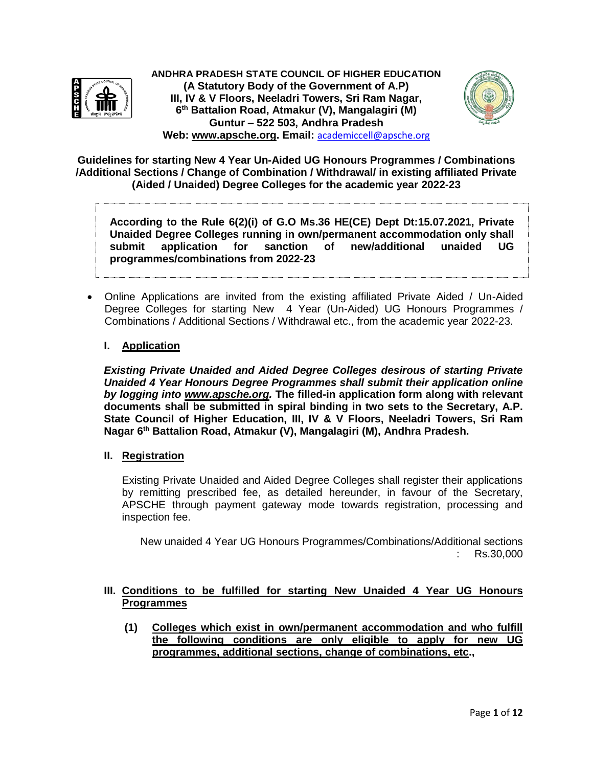

**ANDHRA PRADESH STATE COUNCIL OF HIGHER EDUCATION (A Statutory Body of the Government of A.P) III, IV & V Floors, Neeladri Towers, Sri Ram Nagar, 6 th Battalion Road, Atmakur (V), Mangalagiri (M) Guntur – 522 503, Andhra Pradesh Web: [www.apsche.org.](http://www.apsche.org/) Email:** academiccell@apsche.org



**Guidelines for starting New 4 Year Un-Aided UG Honours Programmes / Combinations /Additional Sections / Change of Combination / Withdrawal/ in existing affiliated Private (Aided / Unaided) Degree Colleges for the academic year 2022-23**

**According to the Rule 6(2)(i) of G.O Ms.36 HE(CE) Dept Dt:15.07.2021, Private Unaided Degree Colleges running in own/permanent accommodation only shall submit application for sanction of new/additional unaided UG programmes/combinations from 2022-23**

 Online Applications are invited from the existing affiliated Private Aided / Un-Aided Degree Colleges for starting New 4 Year (Un-Aided) UG Honours Programmes / Combinations / Additional Sections / Withdrawal etc., from the academic year 2022-23.

## **I. Application**

*Existing Private Unaided and Aided Degree Colleges desirous of starting Private Unaided 4 Year Honours Degree Programmes shall submit their application online by logging into [www.apsche.org.](http://www.apsche.org/)* **The filled-in application form along with relevant documents shall be submitted in spiral binding in two sets to the Secretary, A.P. State Council of Higher Education, III, IV & V Floors, Neeladri Towers, Sri Ram Nagar 6 th Battalion Road, Atmakur (V), Mangalagiri (M), Andhra Pradesh.**

### **II. Registration**

Existing Private Unaided and Aided Degree Colleges shall register their applications by remitting prescribed fee, as detailed hereunder, in favour of the Secretary, APSCHE through payment gateway mode towards registration, processing and inspection fee.

New unaided 4 Year UG Honours Programmes/Combinations/Additional sections : Rs.30,000

## **III. Conditions to be fulfilled for starting New Unaided 4 Year UG Honours Programmes**

**(1) Colleges which exist in own/permanent accommodation and who fulfill the following conditions are only eligible to apply for new UG programmes, additional sections, change of combinations, etc.,**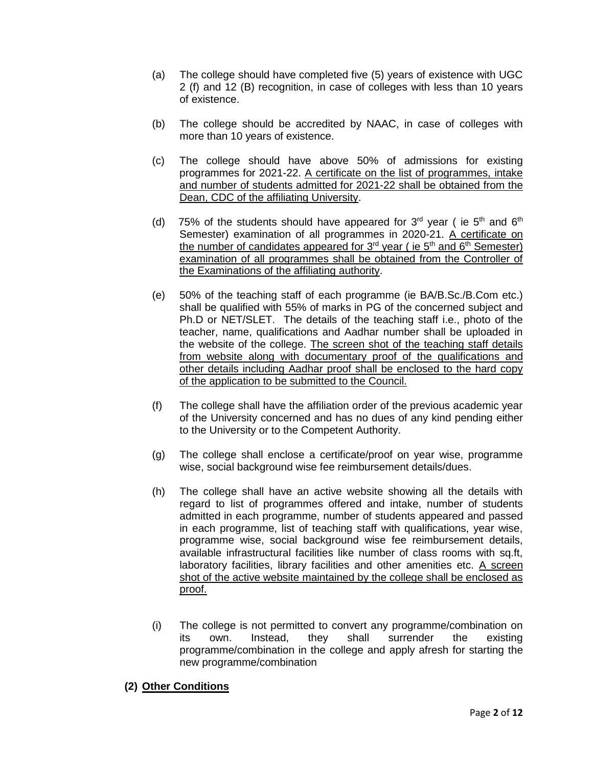- (a) The college should have completed five (5) years of existence with UGC 2 (f) and 12 (B) recognition, in case of colleges with less than 10 years of existence.
- (b) The college should be accredited by NAAC, in case of colleges with more than 10 years of existence.
- (c) The college should have above 50% of admissions for existing programmes for 2021-22. A certificate on the list of programmes, intake and number of students admitted for 2021-22 shall be obtained from the Dean, CDC of the affiliating University.
- (d) 75% of the students should have appeared for  $3<sup>rd</sup>$  year (ie  $5<sup>th</sup>$  and  $6<sup>th</sup>$ Semester) examination of all programmes in 2020-21. A certificate on the number of candidates appeared for  $3^{rd}$  year ( ie  $5^{th}$  and  $6^{th}$  Semester) examination of all programmes shall be obtained from the Controller of the Examinations of the affiliating authority.
- (e) 50% of the teaching staff of each programme (ie BA/B.Sc./B.Com etc.) shall be qualified with 55% of marks in PG of the concerned subject and Ph.D or NET/SLET. The details of the teaching staff i.e., photo of the teacher, name, qualifications and Aadhar number shall be uploaded in the website of the college. The screen shot of the teaching staff details from website along with documentary proof of the qualifications and other details including Aadhar proof shall be enclosed to the hard copy of the application to be submitted to the Council.
- (f) The college shall have the affiliation order of the previous academic year of the University concerned and has no dues of any kind pending either to the University or to the Competent Authority.
- (g) The college shall enclose a certificate/proof on year wise, programme wise, social background wise fee reimbursement details/dues.
- (h) The college shall have an active website showing all the details with regard to list of programmes offered and intake, number of students admitted in each programme, number of students appeared and passed in each programme, list of teaching staff with qualifications, year wise, programme wise, social background wise fee reimbursement details, available infrastructural facilities like number of class rooms with sq.ft, laboratory facilities, library facilities and other amenities etc. A screen shot of the active website maintained by the college shall be enclosed as proof.
- (i) The college is not permitted to convert any programme/combination on its own. Instead, they shall surrender the existing programme/combination in the college and apply afresh for starting the new programme/combination

### **(2) Other Conditions**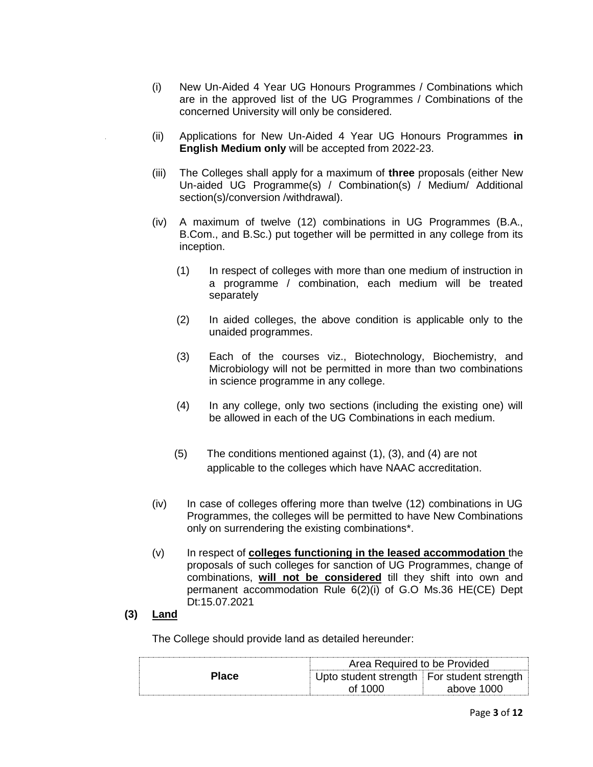- (i) New Un-Aided 4 Year UG Honours Programmes / Combinations which are in the approved list of the UG Programmes / Combinations of the concerned University will only be considered.
- (ii) Applications for New Un-Aided 4 Year UG Honours Programmes **in English Medium only** will be accepted from 2022-23.
- (iii) The Colleges shall apply for a maximum of **three** proposals (either New Un-aided UG Programme(s) / Combination(s) / Medium/ Additional section(s)/conversion /withdrawal).
- (iv) A maximum of twelve (12) combinations in UG Programmes (B.A., B.Com., and B.Sc.) put together will be permitted in any college from its inception.
	- (1) In respect of colleges with more than one medium of instruction in a programme / combination, each medium will be treated separately
	- (2) In aided colleges, the above condition is applicable only to the unaided programmes.
	- (3) Each of the courses viz., Biotechnology, Biochemistry, and Microbiology will not be permitted in more than two combinations in science programme in any college.
	- (4) In any college, only two sections (including the existing one) will be allowed in each of the UG Combinations in each medium.
	- (5) The conditions mentioned against (1), (3), and (4) are not applicable to the colleges which have NAAC accreditation.
- (iv) In case of colleges offering more than twelve (12) combinations in UG Programmes, the colleges will be permitted to have New Combinations only on surrendering the existing combinations\*.
- (v) In respect of **colleges functioning in the leased accommodation** the proposals of such colleges for sanction of UG Programmes, change of combinations, **will not be considered** till they shift into own and permanent accommodation Rule 6(2)(i) of G.O Ms.36 HE(CE) Dept Dt:15.07.2021

### **(3) Land**

The College should provide land as detailed hereunder:

|              | Area Required to be Provided               |            |  |
|--------------|--------------------------------------------|------------|--|
| <b>Place</b> | Upto student strength For student strength |            |  |
|              | of 1000                                    | above 1000 |  |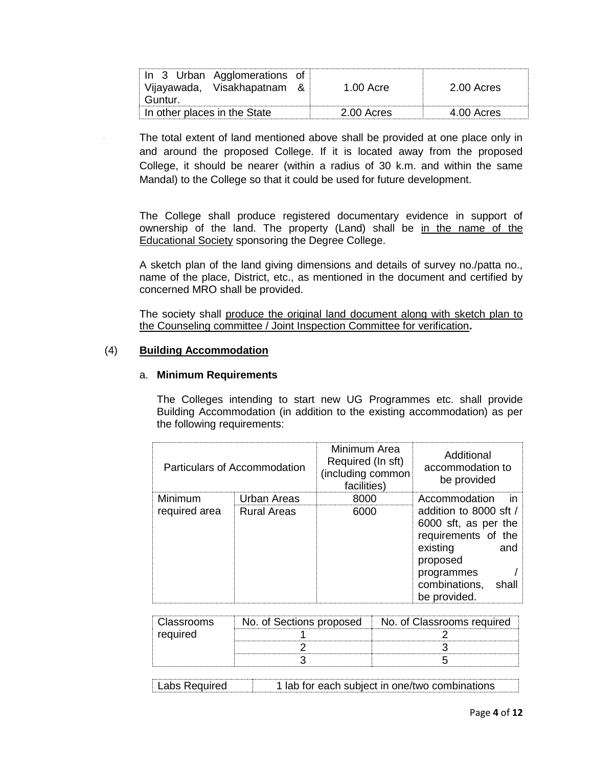| In 3 Urban Agglomerations of<br>Vijayawada, Visakhapatnam<br>Guntur. | 1.00 Acre    | 2.00 Acres   |
|----------------------------------------------------------------------|--------------|--------------|
| In other places in the State                                         | $2.00$ Acres | $4.00$ Acres |

The total extent of land mentioned above shall be provided at one place only in and around the proposed College. If it is located away from the proposed College, it should be nearer (within a radius of 30 k.m. and within the same Mandal) to the College so that it could be used for future development.

The College shall produce registered documentary evidence in support of ownership of the land. The property (Land) shall be in the name of the Educational Society sponsoring the Degree College.

A sketch plan of the land giving dimensions and details of survey no./patta no., name of the place, District, etc., as mentioned in the document and certified by concerned MRO shall be provided.

The society shall produce the original land document along with sketch plan to the Counseling committee / Joint Inspection Committee for verification**.** 

### (4) **Building Accommodation**

### a. **Minimum Requirements**

The Colleges intending to start new UG Programmes etc. shall provide Building Accommodation (in addition to the existing accommodation) as per the following requirements:

| Particulars of Accommodation |                    | Minimum Area<br>Required (In sft)<br>(including common<br>facilities) | Additional<br>accommodation to<br>be provided                                                                                                                |
|------------------------------|--------------------|-----------------------------------------------------------------------|--------------------------------------------------------------------------------------------------------------------------------------------------------------|
| Minimum                      | Urban Areas        | 8000                                                                  | Accommodation<br>$\mathsf{I}$                                                                                                                                |
| required area                | <b>Rural Areas</b> | 6000                                                                  | addition to 8000 sft /<br>6000 sft, as per the<br>requirements of the<br>existing<br>and<br>proposed<br>programmes<br>combinations,<br>shall<br>be provided. |

| Classrooms | No. of Sections proposed | No. of Classrooms required |
|------------|--------------------------|----------------------------|
| required   |                          |                            |
|            |                          |                            |
|            |                          |                            |

| 1 lab for each subject in one/two combinations |  |
|------------------------------------------------|--|
|                                                |  |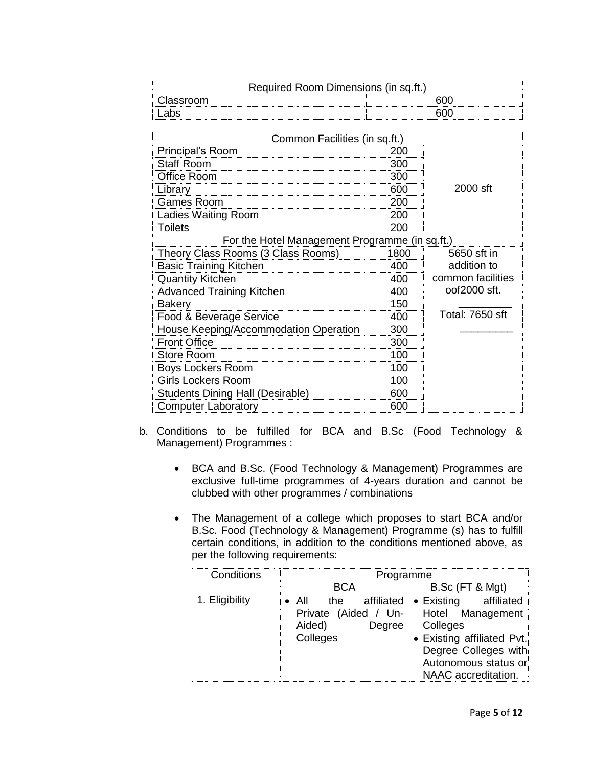| Required Room Dimensions (in sq.ft.) |  |  |  |
|--------------------------------------|--|--|--|
| Classroom                            |  |  |  |
|                                      |  |  |  |

| Common Facilities (in sq.ft.)                  |      |                        |
|------------------------------------------------|------|------------------------|
| Principal's Room                               | 200  |                        |
| <b>Staff Room</b>                              | 300  |                        |
| Office Room                                    | 300  |                        |
| Library                                        | 600  | 2000 sft               |
| <b>Games Room</b>                              | 200  |                        |
| <b>Ladies Waiting Room</b>                     | 200  |                        |
| <b>Toilets</b>                                 | 200  |                        |
| For the Hotel Management Programme (in sq.ft.) |      |                        |
| Theory Class Rooms (3 Class Rooms)             | 1800 | 5650 sft in            |
| <b>Basic Training Kitchen</b>                  | 400  | addition to            |
| <b>Quantity Kitchen</b>                        | 400  | common facilities      |
| <b>Advanced Training Kitchen</b>               | 400  | oof2000 sft.           |
| <b>Bakery</b>                                  | 150  |                        |
| Food & Beverage Service                        | 400  | <b>Total: 7650 sft</b> |
| House Keeping/Accommodation Operation          | 300  |                        |
| <b>Front Office</b>                            | 300  |                        |
| <b>Store Room</b>                              | 100  |                        |
| <b>Boys Lockers Room</b>                       | 100  |                        |
| <b>Girls Lockers Room</b>                      | 100  |                        |
| <b>Students Dining Hall (Desirable)</b>        | 600  |                        |
| <b>Computer Laboratory</b>                     | 600  |                        |

- b. Conditions to be fulfilled for BCA and B.Sc (Food Technology & Management) Programmes :
	- BCA and B.Sc. (Food Technology & Management) Programmes are exclusive full-time programmes of 4-years duration and cannot be clubbed with other programmes / combinations
	- The Management of a college which proposes to start BCA and/or B.Sc. Food (Technology & Management) Programme (s) has to fulfill certain conditions, in addition to the conditions mentioned above, as per the following requirements:

| Conditions     | Programme                                                                               |                                                                                                                                                 |  |  |  |
|----------------|-----------------------------------------------------------------------------------------|-------------------------------------------------------------------------------------------------------------------------------------------------|--|--|--|
|                | RCA                                                                                     | B.Sc (FT & Mgt)                                                                                                                                 |  |  |  |
| 1. Eligibility | • All the affiliated • Existing<br>Private (Aided / Un-<br>Aided)<br>Degree<br>Colleges | affiliated<br>Hotel Management<br>Colleges<br>• Existing affiliated Pvt.<br>Degree Colleges with<br>Autonomous status or<br>NAAC accreditation. |  |  |  |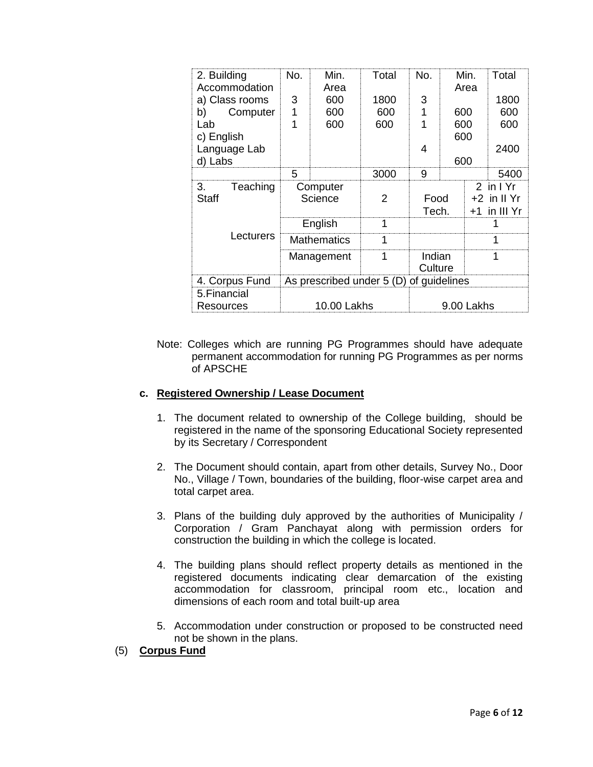| 2. Building<br>Accommodation | No.                                     | Min.<br>Area       | Total | No.        |     | Min.<br>Area | Total          |
|------------------------------|-----------------------------------------|--------------------|-------|------------|-----|--------------|----------------|
| a) Class rooms               | 3                                       | 600                | 1800  | 3          |     |              | 1800           |
| Computer<br>b)               |                                         | 600                | 600   |            | 600 |              | 600            |
| Lab                          |                                         | 600                | 600   |            | 600 |              | 600            |
| c) English                   |                                         |                    |       |            | 600 |              |                |
| Language Lab                 |                                         |                    |       | 4          |     |              | 2400           |
| d) Labs                      | 5                                       |                    |       | 9          | 600 |              |                |
|                              |                                         |                    | 3000  |            |     |              | 5400           |
| Teaching<br>З.               |                                         | Computer           |       |            |     |              | 2 in I Yr      |
| <b>Staff</b>                 |                                         | Science            | 2     | Food       |     |              | $+2$ in II Yr  |
|                              |                                         |                    |       | Tech.      |     |              | $+1$ in III Yr |
|                              |                                         | English            |       |            |     |              |                |
| Lecturers                    |                                         | <b>Mathematics</b> | 1     |            |     |              |                |
|                              |                                         | Management         |       | Indian     |     |              |                |
|                              |                                         |                    |       | Culture    |     |              |                |
| 4. Corpus Fund               | As prescribed under 5 (D) of guidelines |                    |       |            |     |              |                |
| 5. Financial                 |                                         |                    |       |            |     |              |                |
| Resources                    | 10.00 Lakhs                             |                    |       | 9.00 Lakhs |     |              |                |

Note: Colleges which are running PG Programmes should have adequate permanent accommodation for running PG Programmes as per norms of APSCHE

### **c. Registered Ownership / Lease Document**

- 1. The document related to ownership of the College building, should be registered in the name of the sponsoring Educational Society represented by its Secretary / Correspondent
- 2. The Document should contain, apart from other details, Survey No., Door No., Village / Town, boundaries of the building, floor-wise carpet area and total carpet area.
- 3. Plans of the building duly approved by the authorities of Municipality / Corporation / Gram Panchayat along with permission orders for construction the building in which the college is located.
- 4. The building plans should reflect property details as mentioned in the registered documents indicating clear demarcation of the existing accommodation for classroom, principal room etc., location and dimensions of each room and total built-up area
- 5. Accommodation under construction or proposed to be constructed need not be shown in the plans.
- (5) **Corpus Fund**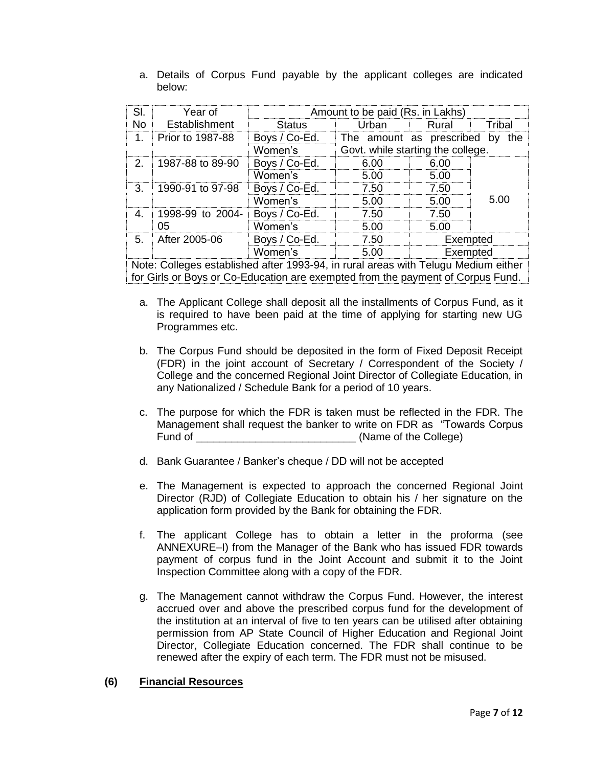| SI.           | Year of            | Amount to be paid (Rs. in Lakhs) |                                   |          |        |
|---------------|--------------------|----------------------------------|-----------------------------------|----------|--------|
| <b>No</b>     | Establishment      | Status                           | Urban                             | Rural    | Tribal |
| 1             | ⊟ Prior to 1987-88 | Boys / Co-Ed.                    | The amount as prescribed by       |          | the    |
|               |                    | Women's                          | Govt. while starting the college. |          |        |
| $\mathcal{P}$ | 1987-88 to 89-90   | Boys / Co-Ed.                    | 6.00                              | 6.00     |        |
|               |                    | Women's                          | 5.00                              | 5.00     |        |
| 3             | 1990-91 to 97-98   | Boys / Co-Ed.                    | 7.50                              | 7.50     |        |
|               |                    | Women's                          | 5.00                              | 5.00     | 5.00   |
| 4             | 1998-99 to 2004-   | Boys / Co-Ed.                    | 7.50                              | 7.50     |        |
|               | 05                 | Women's                          | 5.00                              | 5.00     |        |
| $5 -$         | After 2005-06      | Boys / Co-Ed.                    | 7.50                              | Exempted |        |
|               |                    | Women's                          | .5 OO                             | Exempted |        |

a. Details of Corpus Fund payable by the applicant colleges are indicated below:

Note: Colleges established after 1993-94, in rural areas with Telugu Medium either for Girls or Boys or Co-Education are exempted from the payment of Corpus Fund.

- a. The Applicant College shall deposit all the installments of Corpus Fund, as it is required to have been paid at the time of applying for starting new UG Programmes etc.
- b. The Corpus Fund should be deposited in the form of Fixed Deposit Receipt (FDR) in the joint account of Secretary / Correspondent of the Society / College and the concerned Regional Joint Director of Collegiate Education, in any Nationalized / Schedule Bank for a period of 10 years.
- c. The purpose for which the FDR is taken must be reflected in the FDR. The Management shall request the banker to write on FDR as "Towards Corpus Fund of \_\_\_\_\_\_\_\_\_\_\_\_\_\_\_\_\_\_\_\_\_\_\_\_\_\_\_ (Name of the College)
- d. Bank Guarantee / Banker's cheque / DD will not be accepted
- e. The Management is expected to approach the concerned Regional Joint Director (RJD) of Collegiate Education to obtain his / her signature on the application form provided by the Bank for obtaining the FDR.
- f. The applicant College has to obtain a letter in the proforma (see ANNEXURE–I) from the Manager of the Bank who has issued FDR towards payment of corpus fund in the Joint Account and submit it to the Joint Inspection Committee along with a copy of the FDR.
- g. The Management cannot withdraw the Corpus Fund. However, the interest accrued over and above the prescribed corpus fund for the development of the institution at an interval of five to ten years can be utilised after obtaining permission from AP State Council of Higher Education and Regional Joint Director, Collegiate Education concerned. The FDR shall continue to be renewed after the expiry of each term. The FDR must not be misused.

### **(6) Financial Resources**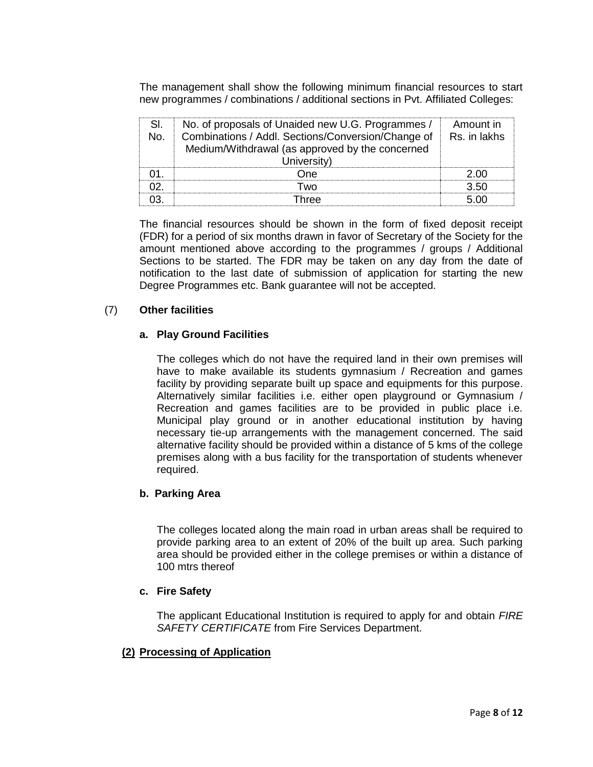The management shall show the following minimum financial resources to start new programmes / combinations / additional sections in Pvt. Affiliated Colleges:

| No. of proposals of Unaided new U.G. Programmes /  | Amount in    |
|----------------------------------------------------|--------------|
| Combinations / Addl. Sections/Conversion/Change of | Rs. in lakhs |
| Medium/Withdrawal (as approved by the concerned    |              |
| University)                                        |              |
| )ne                                                |              |
| ⊺w∩                                                | חף צ         |
|                                                    |              |

The financial resources should be shown in the form of fixed deposit receipt (FDR) for a period of six months drawn in favor of Secretary of the Society for the amount mentioned above according to the programmes / groups / Additional Sections to be started. The FDR may be taken on any day from the date of notification to the last date of submission of application for starting the new Degree Programmes etc. Bank guarantee will not be accepted.

### (7) **Other facilities**

### **a. Play Ground Facilities**

The colleges which do not have the required land in their own premises will have to make available its students gymnasium / Recreation and games facility by providing separate built up space and equipments for this purpose. Alternatively similar facilities i.e. either open playground or Gymnasium / Recreation and games facilities are to be provided in public place i.e. Municipal play ground or in another educational institution by having necessary tie-up arrangements with the management concerned. The said alternative facility should be provided within a distance of 5 kms of the college premises along with a bus facility for the transportation of students whenever required.

### **b. Parking Area**

The colleges located along the main road in urban areas shall be required to provide parking area to an extent of 20% of the built up area. Such parking area should be provided either in the college premises or within a distance of 100 mtrs thereof

### **c. Fire Safety**

The applicant Educational Institution is required to apply for and obtain *FIRE SAFETY CERTIFICATE* from Fire Services Department.

### **(2) Processing of Application**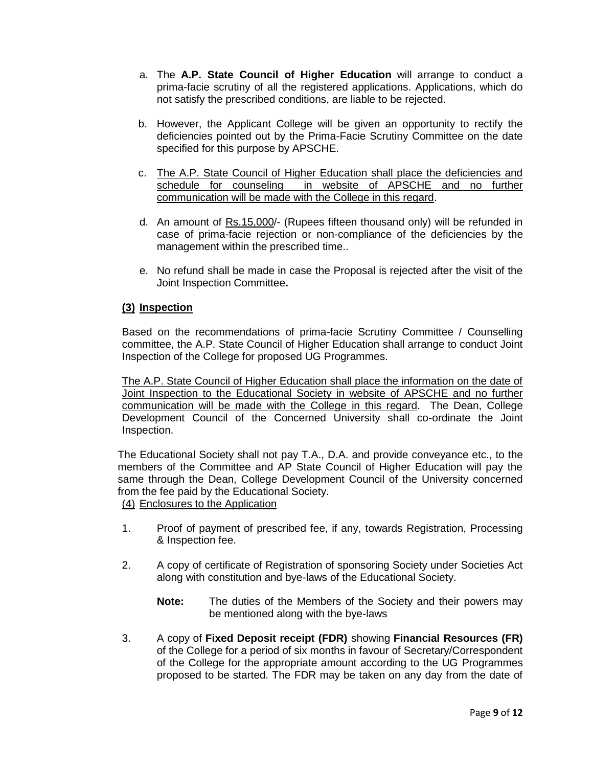- a. The **A.P. State Council of Higher Education** will arrange to conduct a prima-facie scrutiny of all the registered applications. Applications, which do not satisfy the prescribed conditions, are liable to be rejected.
- b. However, the Applicant College will be given an opportunity to rectify the deficiencies pointed out by the Prima-Facie Scrutiny Committee on the date specified for this purpose by APSCHE.
- c. The A.P. State Council of Higher Education shall place the deficiencies and schedule for counseling in website of APSCHE and no further communication will be made with the College in this regard.
- d. An amount of Rs.15,000/- (Rupees fifteen thousand only) will be refunded in case of prima-facie rejection or non-compliance of the deficiencies by the management within the prescribed time..
- e. No refund shall be made in case the Proposal is rejected after the visit of the Joint Inspection Committee**.**

## **(3) Inspection**

Based on the recommendations of prima-facie Scrutiny Committee / Counselling committee, the A.P. State Council of Higher Education shall arrange to conduct Joint Inspection of the College for proposed UG Programmes.

The A.P. State Council of Higher Education shall place the information on the date of Joint Inspection to the Educational Society in website of APSCHE and no further communication will be made with the College in this regard. The Dean, College Development Council of the Concerned University shall co-ordinate the Joint Inspection.

The Educational Society shall not pay T.A., D.A. and provide conveyance etc., to the members of the Committee and AP State Council of Higher Education will pay the same through the Dean, College Development Council of the University concerned from the fee paid by the Educational Society.

(4) Enclosures to the Application

- 1. Proof of payment of prescribed fee, if any, towards Registration, Processing & Inspection fee.
- 2. A copy of certificate of Registration of sponsoring Society under Societies Act along with constitution and bye-laws of the Educational Society.
	- **Note:** The duties of the Members of the Society and their powers may be mentioned along with the bye-laws
- 3. A copy of **Fixed Deposit receipt (FDR)** showing **Financial Resources (FR)** of the College for a period of six months in favour of Secretary/Correspondent of the College for the appropriate amount according to the UG Programmes proposed to be started. The FDR may be taken on any day from the date of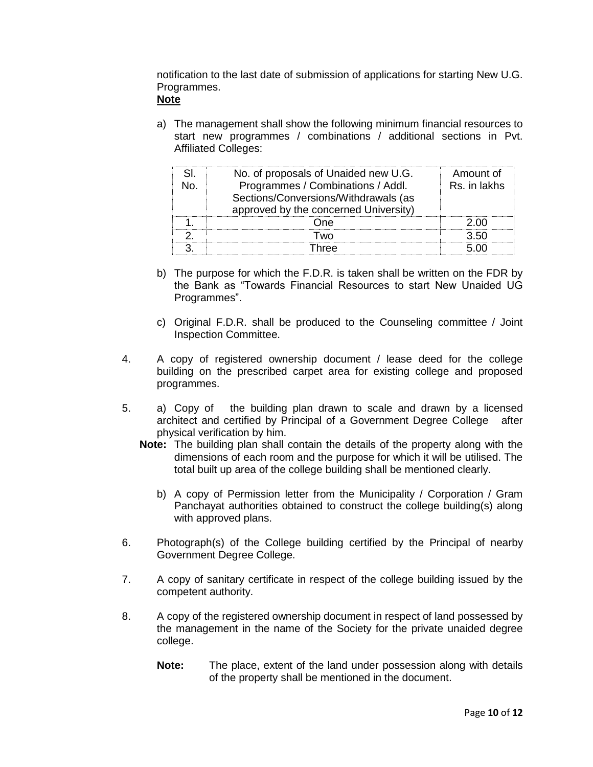notification to the last date of submission of applications for starting New U.G. Programmes.

## **Note**

a) The management shall show the following minimum financial resources to start new programmes / combinations / additional sections in Pvt. Affiliated Colleges:

| No. of proposals of Unaided new U.G.  | Amount of    |
|---------------------------------------|--------------|
| Programmes / Combinations / Addl.     | Rs. in lakhs |
| Sections/Conversions/Withdrawals (as  |              |
| approved by the concerned University) |              |
|                                       |              |
|                                       |              |
| ∩re∩                                  |              |

- b) The purpose for which the F.D.R. is taken shall be written on the FDR by the Bank as "Towards Financial Resources to start New Unaided UG Programmes".
- c) Original F.D.R. shall be produced to the Counseling committee / Joint Inspection Committee.
- 4. A copy of registered ownership document / lease deed for the college building on the prescribed carpet area for existing college and proposed programmes.
- 5. a) Copy of the building plan drawn to scale and drawn by a licensed architect and certified by Principal of a Government Degree College after physical verification by him.
	- **Note:** The building plan shall contain the details of the property along with the dimensions of each room and the purpose for which it will be utilised. The total built up area of the college building shall be mentioned clearly.
		- b) A copy of Permission letter from the Municipality / Corporation / Gram Panchayat authorities obtained to construct the college building(s) along with approved plans.
- 6. Photograph(s) of the College building certified by the Principal of nearby Government Degree College.
- 7. A copy of sanitary certificate in respect of the college building issued by the competent authority.
- 8. A copy of the registered ownership document in respect of land possessed by the management in the name of the Society for the private unaided degree college.
	- **Note:** The place, extent of the land under possession along with details of the property shall be mentioned in the document.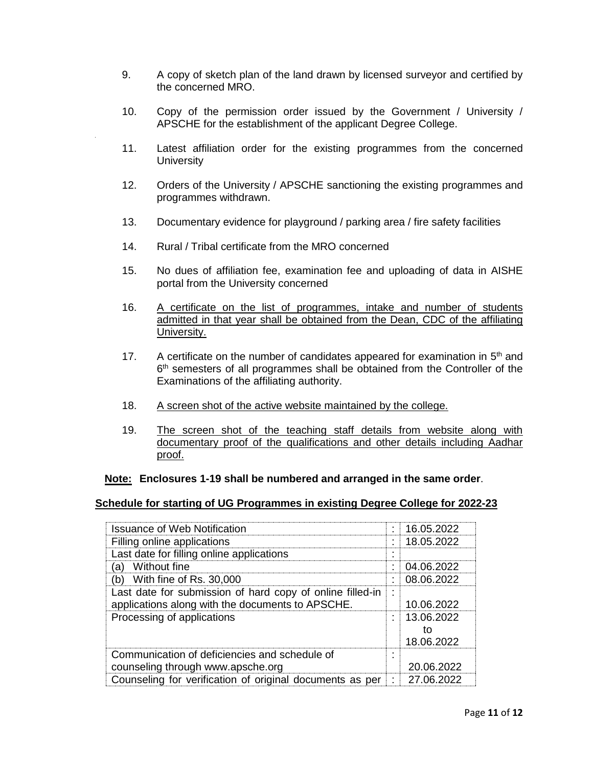- 9. A copy of sketch plan of the land drawn by licensed surveyor and certified by the concerned MRO.
- 10. Copy of the permission order issued by the Government / University / APSCHE for the establishment of the applicant Degree College.
- 11. Latest affiliation order for the existing programmes from the concerned **University**
- 12. Orders of the University / APSCHE sanctioning the existing programmes and programmes withdrawn.
- 13. Documentary evidence for playground / parking area / fire safety facilities
- 14. Rural / Tribal certificate from the MRO concerned
- 15. No dues of affiliation fee, examination fee and uploading of data in AISHE portal from the University concerned
- 16. A certificate on the list of programmes, intake and number of students admitted in that year shall be obtained from the Dean, CDC of the affiliating University.
- 17. A certificate on the number of candidates appeared for examination in  $5<sup>th</sup>$  and 6<sup>th</sup> semesters of all programmes shall be obtained from the Controller of the Examinations of the affiliating authority.
- 18. A screen shot of the active website maintained by the college.
- 19. The screen shot of the teaching staff details from website along with documentary proof of the qualifications and other details including Aadhar proof.

### **Note: Enclosures 1-19 shall be numbered and arranged in the same order**.

#### **Schedule for starting of UG Programmes in existing Degree College for 2022-23**

| <b>Issuance of Web Notification</b>                                                                           | 16.05.2022                     |
|---------------------------------------------------------------------------------------------------------------|--------------------------------|
| Filling online applications                                                                                   | 18.05.2022                     |
| Last date for filling online applications                                                                     |                                |
| Without fine<br>a)                                                                                            | 04.06.2022                     |
| (b) With fine of Rs. 30,000                                                                                   | 08.06.2022                     |
| Last date for submission of hard copy of online filled-in<br>applications along with the documents to APSCHE. | 10.06.2022                     |
| Processing of applications                                                                                    | 13.06.2022<br>tΟ<br>18.06.2022 |
| Communication of deficiencies and schedule of<br>counseling through www.apsche.org                            | 20.06.2022                     |
| Counseling for verification of original documents as per                                                      | 27.06.2022                     |